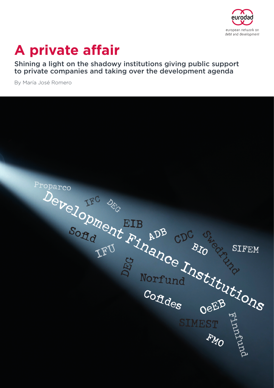

## **A private affair**

### Shining a light on the shadowy institutions giving public support to private companies and taking over the development agenda

By María José Romero

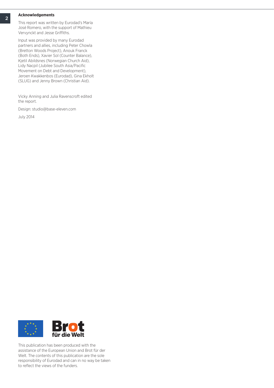## <sup>2</sup> **Acknowledgements**

This report was written by Eurodad's María José Romero, with the support of Mathieu Vervynckt and Jesse Griffiths.

Input was provided by many Eurodad partners and allies, including Peter Chowla (Bretton Woods Project), Anouk Franck (Both Ends), Xavier Sol (Counter Balance), Kjetil Abildsnes (Norwegian Church Aid), Lidy Nacpil (Jubilee South Asia/Pacific Movement on Debt and Development), Jeroen Kwakkenbos (Eurodad), Gina Ekholt (SLUG) and Jenny Brown (Christian Aid).

Vicky Anning and Julia Ravenscroft edited the report.

Design: studio@base-eleven.com

July 2014



This publication has been produced with the assistance of the European Union and Brot für der Welt. The contents of this publication are the sole responsibility of Eurodad and can in no way be taken to reflect the views of the funders.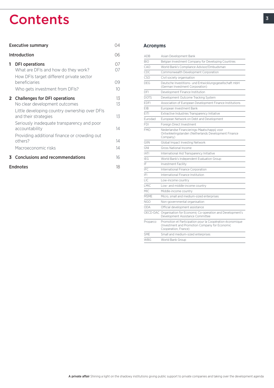## **Contents**

| <b>Executive summary</b><br>04 |                                                                                                                                                             |                                   |  |  |
|--------------------------------|-------------------------------------------------------------------------------------------------------------------------------------------------------------|-----------------------------------|--|--|
| Introduction<br>06             |                                                                                                                                                             |                                   |  |  |
| 1.                             | <b>DFI</b> operations<br>What are DFIs and how do they work?<br>How DFIs target different private sector<br>beneficiaries<br>Who gets investment from DFIs? | 07<br>07<br>09<br>10 <sup>°</sup> |  |  |
| $\mathbf{2}$                   | <b>Challenges for DFI operations</b><br>No clear development outcomes<br>Little developing country ownership over DFIs                                      | 13<br>13                          |  |  |
|                                | and their strategies<br>Seriously inadequate transparency and poor                                                                                          | 13                                |  |  |
|                                | accountability<br>Providing additional finance or crowding out<br>others?                                                                                   | 14<br>14                          |  |  |
|                                | Macroeconomic risks                                                                                                                                         | 14                                |  |  |
| 3                              | <b>Conclusions and recommendations</b>                                                                                                                      | 16                                |  |  |
| <b>Endnotes</b><br>18          |                                                                                                                                                             |                                   |  |  |

#### **Acronyms**

| ADB          | Asian Development Bank                                                                                                              |  |  |  |
|--------------|-------------------------------------------------------------------------------------------------------------------------------------|--|--|--|
| <b>BIO</b>   | Belgian Investment Company for Developing Countries                                                                                 |  |  |  |
| CAO          | World Bank's Compliance Advisor/Ombudsman                                                                                           |  |  |  |
| CDC          | Commonwealth Development Corporation                                                                                                |  |  |  |
| <b>CSO</b>   | Civil society organisation                                                                                                          |  |  |  |
| DFG          | Deutsche Investitions- und Entwicklungsgesellschaft mbH<br>(German Investment Corporation)                                          |  |  |  |
| DFI          | Development Finance Institution                                                                                                     |  |  |  |
| <b>DOTS</b>  | Development Outcome Tracking System                                                                                                 |  |  |  |
| <b>FDFI</b>  | Association of European Development Finance Institutions                                                                            |  |  |  |
| <b>FIB</b>   | European Investment Bank                                                                                                            |  |  |  |
| <b>FITI</b>  | Extractive Industries Transparency Initiative                                                                                       |  |  |  |
| Eurodad      | European Network on Debt and Development                                                                                            |  |  |  |
| <b>FDI</b>   | Foreign Direct Investment                                                                                                           |  |  |  |
| <b>FMO</b>   | Nederlandse Financierings-Maatschappij voor<br>Ontwikkelingslanden (Netherlands Development Finance<br>Company)                     |  |  |  |
| GIIN         | Global Impact Investing Network                                                                                                     |  |  |  |
| <b>GNI</b>   | <b>Gross National Income</b>                                                                                                        |  |  |  |
| <b>IATI</b>  | International Aid Transparency Initiative                                                                                           |  |  |  |
| IFG          | World Bank's Independent Evaluation Group                                                                                           |  |  |  |
| IF           | <b>Investment Facility</b>                                                                                                          |  |  |  |
| IFC.         | International Finance Corporation                                                                                                   |  |  |  |
| IFI          | International Finance Institution                                                                                                   |  |  |  |
| $\vdash$ IC. | Low-income country                                                                                                                  |  |  |  |
| I MIC        | Low- and middle-income country                                                                                                      |  |  |  |
| MIC.         | Middle-income country                                                                                                               |  |  |  |
| <b>MSMF</b>  | Micro, small and medium-sized enterprises                                                                                           |  |  |  |
| <b>NGO</b>   | Non-governmental organisation                                                                                                       |  |  |  |
| <b>ODA</b>   | Official development assistance                                                                                                     |  |  |  |
|              | OECD-DAC Organisation for Economic Co-operation and Development's<br>Development Assistance Committee                               |  |  |  |
| Proparco     | Promotion et Participation pour la Coopération économique<br>(Investment and Promotion Company for Economic<br>Cooperation, France) |  |  |  |
| <b>SMF</b>   | Small and medium-sized enterprises                                                                                                  |  |  |  |
| <b>WBG</b>   | World Bank Group                                                                                                                    |  |  |  |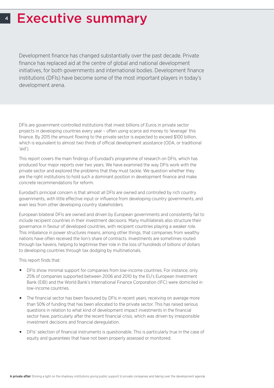#### 4 Executive summary

Development finance has changed substantially over the past decade. Private finance has replaced aid at the centre of global and national development initiatives, for both governments and international bodies. Development finance institutions (DFIs) have become some of the most important players in today's development arena.

DFIs are government-controlled institutions that invest billions of Euros in private sector projects in developing countries every year – often using scarce aid money to 'leverage' this finance. By 2015 the amount flowing to the private sector is expected to exceed \$100 billion, which is equivalent to almost two thirds of official development assistance (ODA, or traditional 'aid').

This report covers the main findings of Eurodad's programme of research on DFIs, which has produced four major reports over two years. We have examined the way DFIs work with the private sector and explored the problems that they must tackle. We question whether they are the right institutions to hold such a dominant position in development finance and make concrete recommendations for reform.

Eurodad's principal concern is that almost all DFIs are owned and controlled by rich country governments, with little effective input or influence from developing country governments, and even less from other developing country stakeholders.

European bilateral DFIs are owned and driven by European governments and consistently fail to include recipient countries in their investment decisions. Many multilaterals also structure their governance in favour of developed countries, with recipient countries playing a weaker role. This imbalance in power structures means, among other things, that companies from wealthy nations have often received the lion's share of contracts. Investments are sometimes routed through tax havens, helping to legitimise their role in the loss of hundreds of billions of dollars to developing countries through tax dodging by multinationals.

This report finds that:

- DFIs show minimal support for companies from low-income countries. For instance, only 25% of companies supported between 2006 and 2010 by the EU's European Investment Bank (EIB) and the World Bank's International Finance Corporation (IFC) were domiciled in low-income countries.
- The financial sector has been favoured by DFIs in recent years, receiving on average more than 50% of funding that has been allocated to the private sector. This has raised serious questions in relation to what kind of development impact investments in the financial sector have, particularly after the recent financial crisis, which was driven by irresponsible investment decisions and financial deregulation.
- DFIs' selection of financial instruments is questionable. This is particularly true in the case of equity and guarantees that have not been properly assessed or monitored.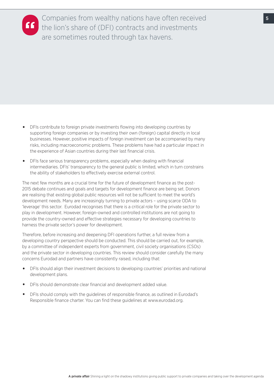

Companies from wealthy nations have often received the lion's share of (DFI) contracts and investments are sometimes routed through tax havens.

- DFIs contribute to foreign private investments flowing into developing countries by supporting foreign companies or by investing their own (foreign) capital directly in local businesses. However, positive impacts of foreign investment can be accompanied by many risks, including macroeconomic problems. These problems have had a particular impact in the experience of Asian countries during their last financial crisis.
- DFIs face serious transparency problems, especially when dealing with financial intermediaries. DFIs' transparency to the general public is limited, which in turn constrains the ability of stakeholders to effectively exercise external control.

The next few months are a crucial time for the future of development finance as the post-2015 debate continues and goals and targets for development finance are being set. Donors are realising that existing global public resources will not be sufficient to meet the world's development needs. Many are increasingly turning to private actors – using scarce ODA to 'leverage' this sector. Eurodad recognises that there is a critical role for the private sector to play in development. However, foreign-owned and controlled institutions are not going to provide the country-owned and effective strategies necessary for developing countries to harness the private sector's power for development.

Therefore, before increasing and deepening DFI operations further, a full review from a developing country perspective should be conducted. This should be carried out, for example, by a committee of independent experts from government, civil society organisations (CSOs) and the private sector in developing countries. This review should consider carefully the many concerns Eurodad and partners have consistently raised, including that:

- DFIs should align their investment decisions to developing countries' priorities and national development plans.
- DFIs should demonstrate clear financial and development added value.
- DFIs should comply with the guidelines of responsible finance, as outlined in Eurodad's Responsible finance charter. You can find these guidelines at www.eurodad.org.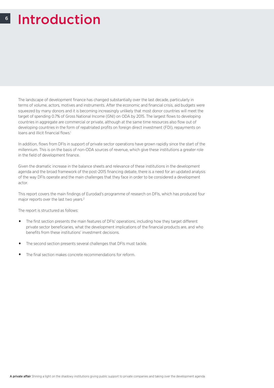#### 6  $\overline{\mathbf{r}}$ **"** <sup>6</sup> Introduction

The landscape of development finance has changed substantially over the last decade, particularly in terms of volume, actors, motives and instruments. After the economic and financial crisis, aid budgets were squeezed by many donors and it is becoming increasingly unlikely that most donor countries will meet the target of spending 0.7% of Gross National Income (GNI) on ODA by 2015. The largest flows to developing countries in aggregate are commercial or private, although at the same time resources also flow out of developing countries in the form of repatriated profits on foreign direct investment (FDI), repayments on loans and illicit financial flows.<sup>1</sup>

In addition, flows from DFIs in support of private sector operations have grown rapidly since the start of the millennium. This is on the basis of non-ODA sources of revenue, which give these institutions a greater role in the field of development finance.

Given the dramatic increase in the balance sheets and relevance of these institutions in the development agenda and the broad framework of the post-2015 financing debate, there is a need for an updated analysis of the way DFIs operate and the main challenges that they face in order to be considered a development actor.

This report covers the main findings of Eurodad's programme of research on DFIs, which has produced four major reports over the last two years.<sup>2</sup>

The report is structured as follows:

- The first section presents the main features of DFIs' operations, including how they target different private sector beneficiaries, what the development implications of the financial products are, and who benefits from these institutions' investment decisions.
- The second section presents several challenges that DFIs must tackle.
- The final section makes concrete recommendations for reform.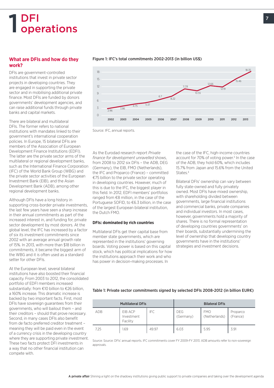# 1 DFI<br>1 operations

#### **What are DFIs and how do they work?**

DFIs are government-controlled institutions that invest in private sector projects in developing countries. They are engaged in supporting the private sector and in mobilising additional private finance. Most DFIs are funded by donors governments' development agencies, and can raise additional funds through private banks and capital markets.

There are bilateral and multilateral DFIs. The former refers to national institutions with mandates linked to their government's international cooperation policies. In Europe, 15 bilateral DFIs are members of the Association of European Development Finance Institutions (EDFI). The latter are the private sector arms of the multilateral or regional development banks, such as the International Finance Corporation (IFC) of the World Bank Group (WBG) and the private sector activities of the European Investment Bank (EIB), and the Asian Development Bank (ADB), among other regional development banks.

Although DFIs have a long history in supporting cross-border private investments, the last few years have seen a sharp increase in their annual commitments as part of the increased interest in, and funding for, private sector development by most donors. At the global level, the IFC has increased by a factor of six its investment commitments since 2002 with an average annual growth rate of 15%. In 2013, with more than \$18 billion in commitments, it became the biggest arm of the WBG and it is often used as a standard setter for other DFIs.

At the European level, several bilateral institutions have also boosted their financial capacity. From 2003 to 2012, the consolidated portfolio of EDFI members increased substantially: from €10 billion to €26 billion, a 160% increase. This dramatic increase is backed by two important facts. First, most DFIs have sovereign guarantees from their governments, who will bailout them – and their creditors – should that prove necessary. Second, in many cases DFIs also benefit from de facto preferred creditor treatment – meaning they will be paid even in the event of a currency crisis in the developing country where they are supporting private investment. These two facts protect DFI investments in a way that no other financial institution can compete with.



#### Figure 1: IFC's total commitments 2002-2013 (in billion US\$)

As the Eurodad research report *Private finance for development unravelled* shows, from 2008 to 2012 six DFIs – the ADB, DEG (Germany), the EIB, FMO (Netherlands), the IFC and Proparco (France) – committed €75 billion to the private sector operating in developing countries. However, much of this is due to the IFC, the biggest player in this field. In 2012, EDFI members' portfolios ranged from €8 million, in the case of the Portuguese SOFID, to €6.3 billion, in the case of the largest European bilateral institution, the Dutch FMO.

#### **DFIs: dominated by rich countries**

Multilateral DFIs get their capital base from member state governments, which are represented in the institutions' governing boards. Voting power is based on this capital stock, which has political implications for how the institutions approach their work and who has power in decision-making processes. In

the case of the IFC, high-income countries account for 70% of voting power.<sup>3</sup> In the case of the ADB, they hold 60%, which includes 15.7% from Japan and 15.6% from the United States<sup>4</sup>

Bilateral DFIs' ownership can vary between fully state-owned and fully privately owned. Most DFIs have mixed ownership, with shareholding divided between governments, large financial institutions and commercial banks, private companies and individual investors. In most cases, however, governments hold a majority of shares. There is no formal representation of developing countries governments' on their boards, substantially undermining the level of ownership that developing country governments have in the institutions' strategies and investment decisions.

#### Table 1: Private sector commitments signed by selected DFIs 2008-2012 (in billion EUR€)

| <b>Multilateral DFIs</b> |                                   |       | <b>Bilateral DFIs</b>   |                             |                      |
|--------------------------|-----------------------------------|-------|-------------------------|-----------------------------|----------------------|
| <b>ADB</b>               | EIB ACP<br>Investment<br>Facility | IFC   | <b>DEG</b><br>(Germany) | <b>FMO</b><br>(Netherlands) | Proparco<br>(France) |
| 7.25                     | 1.69                              | 49.97 | 6.03                    | 5.95                        | 3.91                 |

Source: Source: DFIs' annual reports. IFC commitments cover FY 2009-FY 2013. ADB amounts refer to non-sovereign approvals.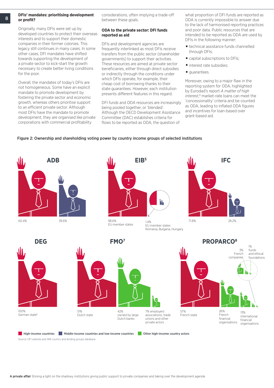#### **DFIs' mandates: prioritising development or profit?**

Originally, many DFIs were set up by developed countries to protect their overseas interests and to support their domestic companies in their former colonies. This legacy still continues in many cases. In some other cases, DFI mandates have shifted towards supporting the development of a private sector to kick-start the growth necessary to create better living conditions for the poor.

Overall, the mandates of today's DFIs are not homogeneous. Some have an explicit mandate to promote development by fostering the private sector and economic growth, whereas others prioritise support to an efficient private sector. Although most DFIs have the mandate to promote development, they are organised like private corporations with commercial profitability

considerations, often implying a trade-off between these goals.

#### **ODA to the private sector: DFI funds reported as aid**

DFIs and development agencies are frequently interlinked as most DFIs receive transfers from the public sector (shareholder governments) to support their activities. These resources are aimed at private sector beneficiaries, either through direct subsidies or indirectly through the conditions under which DFIs operate, for example, their cheap cost of borrowing thanks to their state guarantees. However, each institution presents different features in this regard.

DFI funds and ODA resources are increasingly being pooled together, or 'blended'. Although the OECD Development Assistance Committee (DAC) establishes criteria for flows to be reported as ODA, the question of

what proportion of DFI funds are reported as ODA is currently impossible to answer due to the lack of harmonised reporting practices and poor data. Public resources that are intended to be reported as ODA are used by DFIs in the following manner:

- technical assistance funds channelled through DFIs;
- capital subscriptions to DFIs;
- interest rate subsidies;
- guarantees.

Moreover, owing to a major flaw in the reporting system for ODA, highlighted by Eurodad's report *A matter of high interest*, 9 market-rate loans can meet the 'concessionality' criteria and be counted as ODA, leading to inflated ODA figures and incentives for loan-based over grant-based aid.

#### Figure 2: Ownership and shareholding voting power by country income groups of selected institutions





1.4%

98.6% EU member states



**FMO7 PROPARCO8**



**DEG**

100% German state<sup>6</sup>

51% Dutch state 42%

owned by large Dutch banks



57% French state



international financial organisations

1%

financial organisations

**Middle-income countries** Middle-income countries and low-income countries Countries Other high-income country actors

A private affair Shining a light on the shadowy institutions giving public support to private companies and taking over the development agenda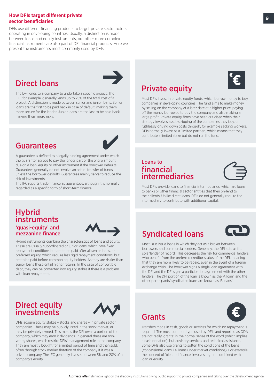#### **How DFIs target different private sector beneficiaries**

DFIs use different financing products to target private sector actors operating in developing countries. Usually, a distinction is made between loans and equity instruments, but other more complex financial instruments are also part of DFI financial products. Here we present the instruments most commonly used by DFIs.

## Direct loans



The DFI lends to a company to undertake a specific project. The IFC, for example, generally lends up to 25% of the total cost of a project. A distinction is made between senior and junior loans. Senior loans are the first to be paid back in case of default, making them more secure for the lender. Junior loans are the last to be paid back, making them more risky.

## Guarantees



A guarantee is defined as a legally binding agreement under which the guarantor agrees to pay the lender part or the entire amount due on a loan, equity or other instrument if the borrower defaults. Guarantees generally do not involve an actual transfer of funds, unless the borrower defaults. Guarantees mainly serve to reduce the risk of investments.

The IFC reports trade finance as guarantees, although it is normally regarded as a specific form of short-term finance.



## Private equity

Most DFIs invest in private equity funds, which borrow money to buy companies in developing countries. The fund aims to make money by selling on the company at a later date at a higher price, paying off the money borrowed to buy the company and also making a large profit. Private equity firms have been criticised when their strategy involves asset-stripping of the companies they buy, or ruthlessly driving down costs through, for example sacking workers. DFIs normally invest as a 'limited partner', which means that they contribute a limited stake but do not run the fund.

### Loans to financial intermediaries



Most DFIs provide loans to financial intermediaries, which are loans to banks or other financial sector entities that then on-lend to their clients. Unlike direct loans, DFIs do not generally require the intermediary to contribute with additional capital.

#### **Hybrid** instruments 'quasi-equity' and mezzanine finance



Hybrid instruments combine the characteristics of loans and equity. These are usually subordinated or junior loans, which have fixed repayment conditions but are to be paid after all senior loans, or preferred equity, which require less rigid repayment conditions, but are to be paid before common equity holders. As they are riskier than senior loans these entail higher returns. In the case of convertible debt, they can be converted into equity stakes if there is a problem with loan repayments.



Most DFIs issue loans in which they act as a broker between borrowers and commercial lenders. Generally, the DFI acts as the sole 'lender of record'. This decreases the risk for commercial lenders who benefit from the preferred creditor status of the DFI, meaning that they are more likely to be repaid, even in the event of a foreign exchange crisis. The borrower signs a single loan agreement with the DFI and the DFI signs a participation agreement with the other lenders. The DFI portion of the loan is known as the 'A loan', and the other participants' syndicated loans are known as 'B loans'.

## Direct equity investments



DFIs acquire equity stakes – stocks and shares – in private sector companies. These may be publicly listed in the stock market, or may be privately owned. This means the DFI owns a portion of the company, which may earn it dividends. In general these are nonvoting shares, which restrict DFIs' management role in the company. They are mostly bought for a limited period of time and then sold, often through stock market flotation of the company if it was a private company. The IFC generally invests between 5% and 20% of a company's equity.

Grants



Transfers made in cash, goods or services for which no repayment is required. The most common type used by DFIs and reported as ODA are not really 'grants' in the normal sense of the word (which implies a cash donation), but advisory services and technical assistance. Some DFIs also use grants to soften the conditions of the loans (concessional loans, i.e. loans under market conditions). For example the concept of 'blended finance' involves a grant combined with a loan or equity.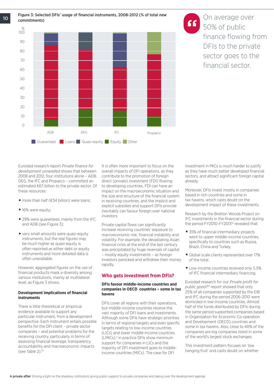Figure 3: Selected DFIs' usage of financial instruments, 2008-2012 (% of total new commitments)



On average over 50% of public finance flowing from DFIs to the private sector goes to the financial sector.

**"**

Eurodad research report *Private finance for development unravelled* shows that between 2008 and 2012, four institutions alone – ADB, DEG, the IFC and Proparco – committed an estimated €67 billion to the private sector. Of these resources:

- more than half (€34 billion) were loans;
- 16% were equity;
- 29% were guarantees, mainly from the IFC and ADB (see Figure 3);
- very small amounts were quasi-equity instruments, but the real figures may be much higher as quasi-equity is often reported as either debt or equity instruments and more detailed data is often unavailable.

However, aggregated figures on the use of financial products mask a diversity among various institutions, mainly at multilateral level, as Figure 3 shows.

#### **Development implications of financial instruments**

There is little theoretical or empirical evidence available to support any particular instrument, from a development perspective. Each instrument entails possible benefits for the DFI client – private sector companies – and potential problems for the receiving country, particularly in terms of assessing financial leverage, transparency, accountability and macroeconomic impacts (see Table 2).10

It is often more important to focus on the overall impacts of DFI operations, as they contribute to the promotion of foreign direct (private) investment (FDI) flowing to developing countries. FDI can have an impact on the macroeconomic situation and the size and structure of the financial system in receiving countries, and the implicit and explicit subsidies and support DFIs provide inevitably can favour foreign over national investors.

Private capital flows can significantly increase receiving countries' exposure to macroeconomic risk, financial instability and volatility. For example, the devastating Asian financial crisis at the end of the last century was precipitated by huge reversals of capital – mostly equity investments – as foreign investors panicked and withdrew their money rapidly.

#### **Who gets investment from DFIs?**

#### **DFIs favour middle-income countries and companies in OECD countries – some in tax havens**

DFIs cover all regions with their operations, but middle-income countries receive the vast majority of DFI loans and investments. Although some DFIs have strategic priorities in terms of regional targets and even specific targets relating to low-income countries (LICs) and lower middle-income countries  $(LMICS),<sup>11</sup>$  in practice DFIs show minimum support for companies in LICs and the majority of DFI investment goes to middleincome countries (MICs). The case for DFI

investment in MICs is much harder to justify as they have much better developed financial sectors, and attract significant foreign capital already.

Moreover, DFIs invest mostly in companies based in rich countries and some in tax havens, which casts doubt on the development impact of these investments.

Research by the Bretton Woods Project on IFC investments in the financial sector during the period FY2010-FY2013<sup>12</sup> revealed that:

- 35% of financial intermediary projects went to upper middle-income countries. specifically to countries such as Russia, Brazil, China and Turkey.
- Global scale clients represented over 17% of the total.
- Low-income countries received only 5.5% of IFC financial intermediary financing.

Eurodad research for our *Private profit for public good?*13 report showed that only 25% of all companies supported by the EIB and IFC during the period 2006-2010 were domiciled in low-income countries. Almost half of the funds distributed by DFIs during the same period supported companies based in Organisation for Economic Co-operation and Development (OECD) countries and some in tax havens. Also, close to 40% of the companies are big companies listed in some of the world's largest stock exchanges.

This investment pattern focuses on 'low hanging fruit' and casts doubt on whether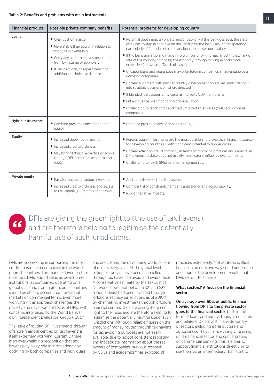| <b>Financial product</b>  | Possible private company benefits                                                                                                                                                                                                                    | Potential problems for developing country                                                                                                                                                                                                                                                                                                                                                                                                                                                                                                                                                                                                                                                                                                                                                                                                                                                                            |
|---------------------------|------------------------------------------------------------------------------------------------------------------------------------------------------------------------------------------------------------------------------------------------------|----------------------------------------------------------------------------------------------------------------------------------------------------------------------------------------------------------------------------------------------------------------------------------------------------------------------------------------------------------------------------------------------------------------------------------------------------------------------------------------------------------------------------------------------------------------------------------------------------------------------------------------------------------------------------------------------------------------------------------------------------------------------------------------------------------------------------------------------------------------------------------------------------------------------|
| Loans                     | • Clear cost of finance.<br>. More stable than equity in relation to<br>changes in ownership.<br>• Company and other investors benefit<br>from DFI 'stamp of approval'.<br>• If blended loan, cheaper financing/<br>additional technical assistance. | • Potential debt impacts (private and/or public) – if the loan goes sour, the state<br>often has to step in and take on the liability for the loan. Lack of transparency,<br>particularly of financial intermediary loans, increases uncertainty.<br>• If the loans are large and made in foreign currency, this may affect the exchange<br>rate of the country, damaging the economy through making exports more<br>expensive (known as a 'Dutch disease').<br>• Cheaper loans and guarantees may offer foreign companies an advantage over<br>domestic companies.<br>• Unclear alignment with partner country development objectives, and little input<br>into strategic decisions on where directed.<br>• If blended loan, opportunity costs as it diverts ODA from grants.<br>• Little influence over monitoring and evaluation.<br>• Challenging to reach small and medium-sized enterprises (SMEs) or informal |
| <b>Hybrid instruments</b> | • Combine pros and cons of debt and<br>equity.                                                                                                                                                                                                       | companies.<br>• Combine pros and cons of debt and equity.                                                                                                                                                                                                                                                                                                                                                                                                                                                                                                                                                                                                                                                                                                                                                                                                                                                            |
| Equity                    | • Increased debt-free financing.<br>• Increased creditworthiness.<br>• May bring technical expertise or advice<br>(though DFIs tend to take a back seat<br>role).                                                                                    | • Foreign equity investments are the most volatile and pro-cyclical financing source<br>for developing countries - with significant potential to trigger crises.<br>• Unclear effect on actual company in terms of improving practices and impacts, as<br>DFI ownership stake does not usually mean strong influence over company.<br>• Challenging to reach SMEs or informal companies.                                                                                                                                                                                                                                                                                                                                                                                                                                                                                                                             |
| Private equity            | • Easy for accessing various investors.<br>• Increased creditworthiness and access<br>to risk capital (DFI 'stamp of approval').                                                                                                                     | • Additionality very difficult to assess.<br>• Confidentiality constraints hamper transparency and accountability.<br>• Risk of negative impacts.                                                                                                                                                                                                                                                                                                                                                                                                                                                                                                                                                                                                                                                                                                                                                                    |

DFIs are giving the green light to (the use of tax havens), **11** and are therefore helping to legitimise the potentially harmful use of such jurisdictions.

DFIs are succeeding in supporting the most credit-constrained companies in the world's poorest countries. This market-driven pattern questions DFIs' added value as development institutions, as companies operating on a global scale and from high-income countries should be able to access credit or capital markets on commercial terms. Even more worryingly, this approach challenges the poverty and development focus of DFIs, with concerns also raised by the World Bank's own Independent Evaluation Group (IEG).<sup>14</sup>

The issue of routing DFI investments through offshore financial centres or 'tax havens' is itself extremely worrying. Currently, there is an overwhelming recognition that tax havens play a key role in international tax dodging by both companies and individuals

and are costing the developing world billions of dollars every year. At the global level, trillions of dollars have been channelled through tax havens to avoid and evade taxes. A conservative estimate by the Tax Justice Network shows that between \$21 and \$32 trillion at least had been invested through 'offshore' secrecy jurisdictions as of 2010.15 By channelling investments through offshore financial centres, DFIs are giving the green light to their use, and are therefore helping to legitimise the potentially harmful use of such jurisdictions. Although reliable figures on the amount of money routed through tax havens for tax avoiding purposes are not easily available, due to lack of consistent reporting and inadequate information about the real owners of companies, previous research by CSOs and academics<sup>16</sup> has exposed DFI

practices extensively. Not addressing illicit finance in an effective way could undermine and counter the development results that DFIs set out to achieve.

#### **What sectors? A focus on the financial sector**

On average over 50% of public finance flowing from DFIs to the private sector goes to the financial sector, both in the form of loans and equity. Though multilateral and bilateral DFIs invest in a wide variety of sectors, including infrastructure and agribusiness, they are increasingly focusing on the financial sector and concentrating on commercial banking. This is either to support financial institutions directly or to use them as an intermediary that is set to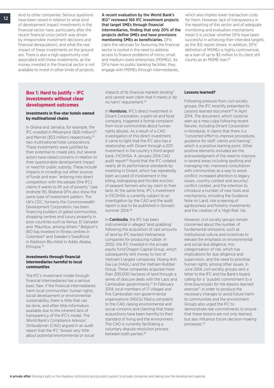lend to other companies. Serious questions have been raised in relation to what kind of development impact investments in the financial sector have, particularly after the recent financial crisis (which was driven by irresponsible investment decisions and financial deregulation), and what the real impact of these investments on the ground are. There is also a high opportunity cost associated with these investments, as the money invested in the financial sector is not available to invest in other kinds of projects.

A recent evaluation by the World Bank's IEG17 reviewed 166 IFC investment projects that target SMEs through financial intermediaries, finding that only 20% of the projects define SMEs and have provisions mentioning SMEs as beneficiaries. DFIs claim the rationale for favouring the financial sector is rooted in the need to address access to finance problems of micro, small and medium-sized enterprises (MSMEs). As DFIs have no public banking facilities, they engage with MSMEs through intermediaries,

which also implies lower transaction costs for them. However, lack of transparency in the reporting of this sector and of adequate monitoring and evaluation mechanisms mean it is unclear whether DFIs have been successful in achieving their intended targets, as the IEG report shows. In addition, DFIs' definition of MSMEs is highly controversial, as a loan of up to \$2 million to its client still counts as an MSME loan.18

#### **Box 1: Hard to justify – IFC investments without clear development outcomes**

#### **Investments in five-star hotels owned by multinational chains**

In Ghana and Jamaica, for example, the IFC invested in Mövenpick (\$26 million)<sup>19</sup> and Marriot (\$53 million) respectively.<sup>20</sup> two multinational hotel corporations. These investments were justified by their potential to create jobs, but several actors have raised concerns in relation to their questionable development impact or need for public subsidy. These include impacts in crowding out other sources of funds and even "entering into direct competition with the people [the IFC] claims it wants to lift out of poverty" (see endnote 19). Bilateral DFIs also show the same type of investment pattern. The UK's CDC, formerly the Commonwealth Development Corporation, has been financing builders of gated communities, shopping centres and luxury property in poor countries such as Kenya, El Salvador and Mauritius, among others.<sup>21</sup> Belgium's BIO has invested in fitness centres in Colombia22 and Sweden's Swedfund in Radisson Blu Hotel in Addis Ababa, Ethiopia.<sup>23</sup>

#### **Investments through financial intermediaries harmful to local communities**

The IFC's investment model through financial intermediaries has a serious basic flaw: if the financial intermediaries harm local communities' human rights, social development or environmental sustainability, there is little that can be done, and often little information available due to the inherent lack of transparency of the IFC's model. The World Bank's Compliance Advisor/ Ombudsman (CAO) argued in an audit report that the IFC "*knows very little about potential environmental or social* 

*impacts of its financial markets lending*" and cannot even claim that it meets a 'do no harm' requirement.24

In **Honduras**, IFC's direct investment in Dinant Corporation, a palm oil and food company, triggered a formal complaint from local communities about human rights abuses. As a result of a CAO investigation of this direct investment, it came to light that the IFC also has a relationship with Dinant through a 2011 investment in the country's third largest bank, FICOHSA. A January 2014 CAO audit report<sup>25</sup> found that the IFC violated nearly all its performance standards by investing in Dinant, which has repeatedly been accused of involvement in the killing, kidnapping and forcible eviction of peasant farmers who lay claim to their land. At the same time, IFC's investment in FICOHSA is currently subject to an investigation by the CAO and the audit report is due to be published in (boreal) summer 2014.26

In Cambodia, the IFC has been instrumental in alleged 'land grabbing' following the acquisition of vast amounts of land by IFC-backed Vietnamese companies for producing rubber. In 2002, the IFC invested in the private equity fund Dragon Capital Group, which subsequently lent money to two of Vietnam's largest companies, Hoang Anh Gia Lai (HAGL) and the Vietnam Rubber Group. These companies acquired more than 200,000 hectares of land through a series of obscure deals with the Laos and Cambodian governments.27 In February 2014, local members of 17 villages and five Cambodian non-governmental organisations (NGOs) filed a complaint to the CAO, raising environmental and social concerns and claiming that these acquisitions have been harmful to their standard of living and the environment. The CAO is currently facilitating a voluntary dispute resolution process between both parties.<sup>28</sup>

#### **Lessons learned?**

Following pressure from civil society groups, the IFC recently presented its Lessons learned document<sup>29</sup> in April 2014. The document, which could be seen as a mea culpa following recent failures, including Dinant Corporation in Honduras. It claims that there is a "*concerted effort to improve procedures, guidance for staff*, *clients and training*", which is a positive starting point. Other positive elements included are the acknowledgment of the need to improve in several areas including spotting and managing risk; improved consultation with communities as a way to avoid conflict; increased attention to legacy issues, country context and security/ conflict context, and the intention to introduce a number of new tools and mechanisms, including the Guidance Note on Land, risk screening of agribusiness and forestry investments and the creation of a 'High Risk' list.

However, civil society groups remain concerned about the number of fundamental omissions, such as institutional culture and incentives to elevate the emphasis on environmental and social due diligence, miscategorisation of risk, which has implications for due diligence and supervision, and the need to prioritise human rights, among other issues. In June 2014, civil society groups sent a letter to the IFC and the Bank's board, calling for a *"a public commitment to a time bound plan for the lessons learned exercise"*, in order to produce the necessary changes to avoid future harm to communities and the environment. Groups also urged the IFC to demonstrate real commitments to ensure that these lessons are not only learned, but also influence future decision-making processes.30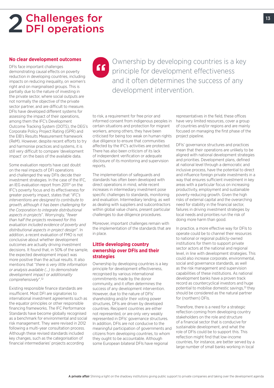# 2 Challenges for<br>
2 DFI operations

#### **No clear development outcomes**

DFIs face important challenges demonstrating causal effects on poverty reduction in developing countries, including impacts on reducing inequality, on women's right and on marginalised groups. This is partially due to the nature of investing in the private sector, where social outputs are not normally the objective of the private sector partner, and are difficult to measure. DFIs have developed different systems for assessing the impact of their operations, among them the IFC's Development Outcome Tracking System (DOTS), the DEG's Corporate Policy Project Rating (GPR) and the EIB's Results Measurement framework (ReM). However, despite recent efforts to try and harmonise practices and systems, it is still very difficult to compare 'development impact' on the basis of the available data.

Some evaluation reports have cast doubt on the real impacts of DFI operations and challenged the way DFIs decide their investment strategies. In the case of the IFC, an IEG evaluation report from 2011<sup>31</sup> on the IFC's poverty focus and its effectiveness for greater poverty impact, states that "*IFC's interventions are designed to contribute to growth, although it has been challenging for the Corporation to integrate distributional aspects in projects*". Worryingly, "*fewer than half the projects reviewed for this evaluation included evidence of poverty and distributional aspects in project design*". In addition, a recent evaluation of FMO is not conclusive about whether development outcomes are actually driving investment decisions. It found that, in 50% of the sample, the expected development impact was more positive than the actual results. It also mentions that "*there is very little information or analysis available (…) to demonstrate development impact or additionality comprehensively*".32

Existing responsible finance standards are insufficient. Most DFI are signatories to international investment agreements such as the equator principles or other responsible financing frameworks. The IFC Performance Standards have become globally recognised as a benchmark for environmental and social risk management. They were revised in 2012 following a multi-year consultation process. Although these revised standards included key changes, such as the categorisation of financial intermediaries' projects according

Ownership by developing countries is a key principle for development effectiveness and it often determines the success of any development intervention. **"**

to risk, a requirement for free prior and informed consent from indigenous peoples in certain situations and protection for migrant workers, among others, they have been criticised for being too weak on human rights due diligence to ensure that communities affected by the IFC's activities are protected. There has also been criticism of its lack of independent verification or adequate disclosure of its monitoring and supervision reports.

The implementation of safeguards and standards has often been developed with direct operations in mind, while recent increases in intermediary investment pose specific challenges to standards, monitoring and evaluation. Intermediary lending, as well as dealing with suppliers and subcontractors within global value chains, present particular challenges to due diligence procedures.

Moreover, important challenges remain with the implementation of the standards that are in place.

#### **Little developing country ownership over DFIs and their strategies**

Ownership by developing countries is a key principle for development effectiveness, recognised by various international commitments made by the donor community, and it often determines the success of any development intervention. However, due to the nature of DFIs' shareholding and/or their voting power structures, DFIs are driven by developed countries. Recipient countries are either not represented, or are only very weakly represented in DFIs' governance structures. In addition, DFIs are not conducive to the meaningful participation of governments and citizens from developing countries, to whom they ought to be accountable. Although some European bilateral DFIs have regional

representatives in the field, these offices have very limited resources, cover a group of countries and/or regions and are mainly focused on managing the first phase of the project pipeline.

DFIs' governance structures and practices mean that their operations are unlikely to be aligned with national development strategies and priorities. Development plans, defined at national level through a democratic and inclusive process, have the potential to direct and influence foreign private investments in a way that ensures sufficient investment in key areas with a particular focus on increasing productivity, employment and sustainable poverty-reducing growth. Given the high risks of external capital and the overarching need for stability in the financial sector, failures in driving investment strategies by local needs and priorities run the risk of doing more harm than good.

In practice, a more effective way for DFIs to operate could be to channel their resources to national or regional publicly-owned institutions for them to support private sector actors at the national and regional level, in line with development strategies. This could also increase corporate, environmental, social and governance standards, as well as the risk management and supervision capabilities of these institutions. As national development banks have a proven track record as countercyclical investors and huge potential to mobilise domestic savings,<sup>33</sup> they should be considered as the natural partner for (northern) DFIs.

Therefore, there is a need for a strategic reflection coming from developing country stakeholders on the role and structure of a financial sector that is conducive for sustainable development, and what the role of DFIs could be to support this. This reflection might find that low-income countries, for instance, are better served by a large number of small banks working in local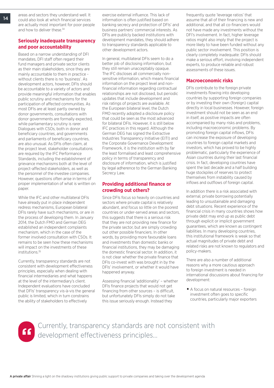areas and sectors they understand well. It could also look at which financial services are actually most important for poor people and how to deliver these.<sup>34</sup>

#### **Seriously inadequate transparency and poor accountability**

Based on a narrow understanding of DFI mandates, DFI staff often regard their fund managers and private sector clients as their main stakeholders, since they are mainly accountable to them in practice without clients there is no 'business'. As development actors, however, DFIs should be accountable to a variety of actors and provide meaningful information that enables public scrutiny and mechanisms for the participation of affected communities. As most DFIs are at least partly owned by donor governments, consultations with donor governments are formally expected, while parliamentary scrutiny is rarer. Dialogues with CSOs, both in donor and beneficiary countries, and governments and parliaments of beneficiary countries, are also unusual. As DFIs often claim, at the project level, stakeholder consultations are required by the IFC Performance Standards, including the establishment of grievance mechanisms both at the level of project-affected stakeholders, as well as the personnel of the investee companies. However, questions often arise in terms of proper implementation of what is written on paper.

While the IFC and other multilateral DFIs have already put in place independent redress mechanisms, European bilateral DFIs rarely have such mechanisms, or are in the process of developing them. In January 2014, the Dutch FMO and German DEG established an independent complaints mechanism, which in the case of the former involved consultation with CSOs. It remains to be seen how these mechanisms will impact on the investments of these institutions.<sup>35</sup>

Currently, transparency standards are not consistent with development effectiveness principles, especially when dealing with financial intermediaries and what happens at the level of the intermediary's client. Independent evaluations have concluded that DFIs' transparency vis-à-vis the general public is limited, which in turn constrains the ability of stakeholders to effectively

exercise external influence. This lack of information is often justified based on banking secrecy and protection of DFIs' and business partners' commercial interests. As DFIs are publicly backed institutions with development mandates, they should adhere to transparency standards applicable to other development actors.

In general, multilateral DFIs seem to do a better job of disclosing information, but they still remain unacceptably opaque. The IFC discloses all commercially nonsensitive information, which means financial information on the project level and nonfinancial information regarding contractual relationships are not disclosed, but periodic updates that include development and risk ratings of projects are available. At the European bilateral level, the Dutch FMO recently adopted a disclosure policy that could be seen as the most advanced for bilateral DFIs. However, it is still below IFC practices in this regard. Although the German DEG has signed the Extractive Industries Transparency Initiative (EITI) and the Corporate Governance Development Framework, it is the institution with by far the least formalised and least comprehensive policy in terms of transparency and disclosure of information, which is justified by legal adherence to the German Banking Secrecy Law.

#### **Providing additional finance or crowding out others?**

Since DFIs focus so heavily on countries and sectors where private capital is relatively abundant, and focus so little on the poorest countries or under-served areas and sectors, this suggests that there is a serious risk that they are not providing new finance for the private sector, but are simply crowding out other possible financiers. In other words, by providing more favourable loans and investments than domestic banks or financial institutions, they may be damaging the domestic financial sector. In addition, it is not clear whether the private finance that DFIs co-invest with was brought in by the DFIs' involvement, or whether it would have happened anyway.

Assessing financial 'additionality' – whether DFIs finance projects that would not get financing from other sources – is difficult, but unfortunately DFIs simply do not take this issue seriously enough. Instead they

frequently quote 'leverage ratios' that assume that all of their financing is new and additional, and that all co-financiers would not have made any investments without the DFI's involvement. In fact, higher leverage ratios might also imply that the project is more likely to have been funded without any public sector involvement. This position is clearly completely inadequate: DFIs should make a serious effort, involving independent experts, to produce reliable and robust assessments of these issues.

#### **Macroeconomic risks**

DFIs contribute to the foreign private investments flowing into developing countries by supporting foreign companies or by investing their own (foreign) capital directly in local businesses. However, foreign investment should not be seen as an end in itself, as positive impacts are often accompanied by many risks and problems, including macroeconomic problems. By promoting foreign capital inflows, DFIs can increase the exposure of developing countries to foreign capital markets and investors, which has proved to be highly problematic, particularly the experience of Asian countries during their last financial crisis. In fact, developing countries have spent the last decade and a half building huge stockpiles of reserves to protect themselves from instability caused by inflows and outflows of foreign capital.

In addition there is a risk associated with external, private borrowing potentially leading to unsustainable and damaging debt situations. Recent experience of the financial crisis in many countries shows how private debt may end up as public debt through explicit or implicit government guarantees, which are known as contingent liabilities. In many developing countries, this institutional framework is weak so that actual magnitudes of private debt and related risks are not known to regulators and policy-makers.

There are also a number of additional reasons why a more cautious approach to foreign investment is needed in international discussions about financing for development:

• A focus on natural resources – foreign investment often goes to specific countries, particularly major exporters

Currently, transparency standards are not consistent with <sup>"</sup> development effectiveness principles...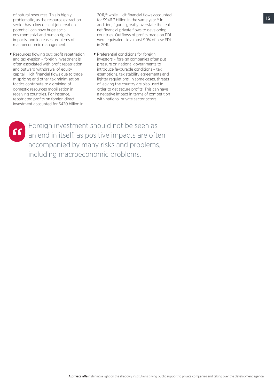of natural resources. This is highly problematic, as the resource extraction sector has a low decent job creation potential, can have huge social, environmental and human rights impacts, and increases problems of macroeconomic management.

• Resources flowing out: profit repatriation and tax evasion – foreign investment is often associated with profit repatriation and outward withdrawal of equity capital. Illicit financial flows due to trade mispricing and other tax minimisation tactics contribute to a draining of domestic resources mobilisation in receiving countries. For instance, repatriated profits on foreign direct investment accounted for \$420 billion in

2011,36 while illicit financial flows accounted for \$946.7 billion in the same year.<sup>37</sup> In addition, figures greatly overstate the real net financial private flows to developing countries. Outflows of profits made on FDI were equivalent to almost 90% of new FDI in 2011.

• Preferential conditions for foreign investors – foreign companies often put pressure on national governments to introduce favourable conditions – tax exemptions, tax stability agreements and lighter regulations. In some cases, threats of leaving the country are also used in order to get secure profits. This can have a negative impact in terms of competition with national private sector actors.

**"**

Foreign investment should not be seen as an end in itself, as positive impacts are often accompanied by many risks and problems, including macroeconomic problems.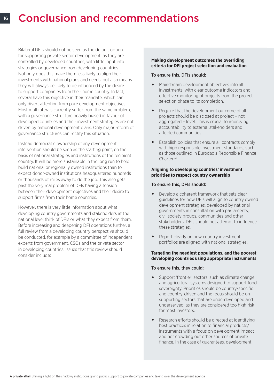#### 16 Conclusion and recommendations

Bilateral DFIs should not be seen as the default option for supporting private sector development, as they are controlled by developed countries, with little input into strategies or governance from developing countries. Not only does this make them less likely to align their investments with national plans and needs, but also means they will always be likely to be influenced by the desire to support companies from their home country. In fact, several have this objective in their mandate, which can only divert attention from pure development objectives. Most multilaterals currently suffer from the same problem, with a governance structure heavily biased in favour of developed countries and their investment strategies are not driven by national development plans. Only major reform of governance structures can rectify this situation.

Instead democratic ownership of any development intervention should be seen as the starting point, on the basis of national strategies and institutions of the recipient country. It will be more sustainable in the long run to help build national or regionally owned institutions than to expect donor-owned institutions headquartered hundreds or thousands of miles away to do the job. This also gets past the very real problem of DFIs having a tension between their development objectives and their desire to support firms from their home countries.

However, there is very little information about what developing country governments and stakeholders at the national level think of DFIs or what they expect from them. Before increasing and deepening DFI operations further, a full review from a developing country perspective should be conducted, for example by a committee of independent experts from government, CSOs and the private sector in developing countries. Issues that this review should consider include:

#### **Making development outcomes the overriding criteria for DFI project selection and evaluation**

#### To ensure this, DFIs should:

- Mainstream development objectives into all investments, with clear outcome indicators and effective monitoring of projects from the project selection phase to its completion.
- Require that the development outcome of all projects should be disclosed at project – not aggregated – level. This is crucial to improving accountability to external stakeholders and affected communities.
- Establish policies that ensure all contracts comply with high responsible investment standards, such as those outlined in Eurodad's Reponsible Finance Charter.<sup>38</sup>

#### **Aligning to developing countries' investment priorities to respect country ownership**

#### To ensure this, DFIs should:

- Develop a coherent framework that sets clear guidelines for how DFIs will align to country owned development strategies, developed by national governments in consultation with parliaments, civil society groups, communities and other stakeholders. DFIs should not attempt to influence these strategies.
- Report clearly on how country investment portfolios are aligned with national strategies.

#### **Targeting the neediest populations, and the poorest developing countries using appropriate instruments**

#### To ensure this, they could:

- Support 'frontier' sectors, such as climate change and agricultural systems designed to support food sovereignty. Priorities should be country-specific and country-driven and the focus should be on supporting sectors that are underdeveloped and underserved, as they are considered too high risk for most investors.
- Research efforts should be directed at identifying best practices in relation to financial products/ instruments with a focus on development impact and not crowding out other sources of private finance. In the case of guarantees, development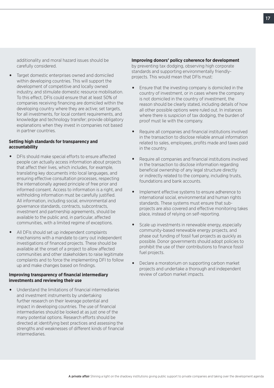additionality and moral hazard issues should be carefully considered.

Target domestic enterprises owned and domiciled within developing countries. This will support the development of competitive and locally owned industry, and stimulate domestic resource mobilisation. To this effect, DFIs could ensure that at least 50% of companies receiving financing are domiciled within the developing country where they are active; set targets, for all investments, for local content requirements, and knowledge and technology transfer; provide obligatory explanations when they invest in companies not based in partner countries.

#### **Setting high standards for transparency and accountability**

- DFIs should make special efforts to ensure affected people can actually access information about projects that affect their lives, which includes, for example, translating key documents into local languages, and ensuring effective consultation processes, respecting the internationally agreed principle of free prior and informed consent. Access to information is a right, and withholding information must be carefully justified. All information, including social, environmental and governance standards, contracts, subcontracts, investment and partnership agreements, should be available to the public and, in particular, affected communities, with a limited regime of exceptions.
- All DFIs should set up independent complaints mechanisms with a mandate to carry out independent investigations of financed projects. These should be available at the onset of a project to allow affected communities and other stakeholders to raise legitimate complaints and to force the implementing DFI to follow up and make changes based on findings.

#### **Improving transparency of financial intermediary investments and reviewing their use**

• Understand the limitations of financial intermediaries and investment instruments by undertaking further research on their leverage potential and impact in developing countries. The use of financial intermediaries should be looked at as just one of the many potential options. Research efforts should be directed at identifying best practices and assessing the strengths and weaknesses of different kinds of financial intermediaries.

#### **Improving donors' policy coherence for development**

by preventing tax dodging, observing high corporate standards and supporting environmentally friendlyprojects. This would mean that DFIs must:

- Ensure that the investing company is domiciled in the country of investment, or in cases where the company is not domiciled in the country of investment, the reason should be clearly stated, including details of how all other possible options were ruled out. In instances where there is suspicion of tax dodging, the burden of proof must lie with the company.
- Require all companies and financial institutions involved in the transaction to disclose reliable annual information related to sales, employees, profits made and taxes paid in the country.
- Require all companies and financial institutions involved in the transaction to disclose information regarding beneficial ownership of any legal structure directly or indirectly related to the company, including trusts, foundations and bank accounts.
- Implement effective systems to ensure adherence to international social, environmental and human rights standards. These systems must ensure that subprojects are also covered and effective monitoring takes place, instead of relying on self-reporting.
- Scale up investments in renewable energy, especially community-based renewable energy projects, and phase out funding of fossil fuel projects as quickly as possible. Donor governments should adopt policies to prohibit the use of their contributions to finance fossil fuel projects.
- Declare a moratorium on supporting carbon market projects and undertake a thorough and independent review of carbon market impacts.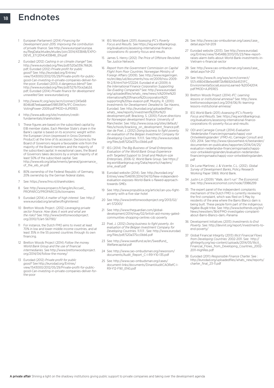#### 18 Endnotes

- 1 European Parliament (2014) *Financing for Development post-2015: Improving the contribution of private finance*. See http://www.europarl.europa. eu/RegData/etudes/etudes/join/2014/433848/EXPO-DEVE\_ET(2014)433848\_EN.pdf
- 2 Eurodad (2012) *Cashing in on climate change?* See: http://www.eurodad.org/files/pdf/520a339c76626. pdf; Eurodad (2012) *Private profit for public good?* See: http://eurodad.org/Entries/ view/1543000/2012/05/29/Private-profit-for-publicgood-Can-investing-in-private-companies-deliver-forthe-poor; Eurodad (2013) *A dangerous blend?* See: http://www.eurodad.org/files/pdf/527b70ce2ab2d. pdf; Eurodad (2014) *Private finance for development unravelled* See: www.eurodad.org
- 3 http://www.ifc.org/wps/wcm/connect/245e68 8046d87eebaaebae5198539f7e/IFC-Directors-VotingPower-2009.pdf?MOD=AJPERES
- 4 http://www.adb.org/site/investors/creditfundamentals/shareholders
- 5 These figures are based on the subscribed capital by EIB member states. Each Member State's share in the Bank's capital is based on its economic weight within the European Union (expressed in Gross Domestic Product) at the time of its accession. Decisions by the Board of Governors require a favourable vote from the majority of the Board members and the majority of the subscribed capital. In exceptional cases, the Board of Governors takes decisions by a simple majority of at least 50% of the subscribed capital. See: http://www.eib.org/attachments/general/governance\_ of\_the\_eib\_en.pdf
- 6 80% ownership of the Federal Republic of Germany, 20% ownership by the German federal states.
- 7 See: https://www.fmo.nl/shareholders
- 8 See: http://www.proparco.fr/lang/en/Accueil\_ PROPARCO/PROPARCO/Actionnaires
- 9 Eurodad (2014) *A matter of high interest*. See: http:// www.eurodad.org/amatterofhighinterest
- 10 Bretton Woods Project. (2012) *Leveraging private sector finance. How does it work and what are the risks?* See: http://www.brettonwoodsproject. org/2010/11/art-567190/
- 11 For instance, the Dutch FMO aims to invest at least 70% in low and lower-middle income countries, and at least 35% in the 55 poorest countries through its own financing.
- 12 Bretton Woods Project (2014) *Follow the money. World Bank Group and the use of financial intermediaries.* See http://www.brettonwoodsproject. org/2014/04/follow-the-money/
- 13 Eurodad (2012) *Private profit for public good?* See http://eurodad.org/Entries/ view/1543000/2012/05/29/Private-profit-for-publicgood-Can-investing-in-private-companies-deliver-forthe-poor
- 14 IEG World Bank (2011) *Assessing IFC's Poverty Focus and Results*. See https://ieg.worldbankgroup. org/evaluations/assessing-international-financecorporations-ifc-poverty-focus-and-results
- 15 James S. Henry (2012) *The Price of Offshore Revisited*. Tax Justice Network.
- 16 *Report from the Government Commission on Capital Flight from Poor Countries*. Norwegian Ministry of Foreign Affairs (2009). See: http://www.regjeringen. no/en/dep/ud/documents/nou-er/2009/nou-2009- 19-2/8.html?id=572224; Eurodad et al (2009) *Is the International Finance Corporation Supporting Tax-Evading Companies?* See: http://www.eurodad. org/uploadedfiles/whats\_new/news/is%20the%20 international%20finance%20corporation%20 supporting%20tax-evasion.pdf; Murphy, R. (2010) *Investments for Development: Derailed to Tax Havens*, Eurodad. See: http://eurodad.org/uploadedfiles/ whats\_new/reports/investment%20for%20 development.pdf; Bracking, S. (2010) *Future directions for Norwegian development finance*. University of Manchester. See: http://www.osisa.org/sites/default/ files/schools/bracking\_on\_development\_finance.pdf; Van de Poel, J. (2012) *Doing business to fight poverty. An evaluation of the Belgian Investment Company for Developing Countries*. 11.11.11. See http://www.eurodad. org/files/pdf/520a375cc0bb6.pdf
- 17 IEG (2014) *The Big Business of Small Enterprises. Evaluation of the World Bank Group Experience with Targeted Support to Small and Medium-size Enterprises,* 2006-12. World Bank Group. See https:// ieg.worldbankgroup.org/Data/reports/chapters/ sme\_eval1.pdf
- 18 Eurodad website (2014). See: http://eurodad.org/ Entries/view/1546191/2014/04/10/New-independentevaluation-exposes-World-Bank-s-flawed-approachtowards-SMEs
- 19 See: http://www.propublica.org/article/can-you-fightpoverty-with-a-five-star-hotel
- 20 See: http://www.brettonwoodsproject.org/2013/02/ art-572001/
- 21 See: http://www.theguardian.com/globaldevelopment/2014/may/02/british-aid-money-gatedcommunities-shopping-centres-cdc-poverty
- 22 Poel, J. (2012) *Doing business to fight poverty. An evaluation of the Belgian Investment Company for Developing Countries*. 11.11.11 . See: http://www.eurodad. org/files/pdf/520a375cc0bb6.pdf
- 23 See: http://www.swedfund.se/en/Swedfund\_ Welfarecapital.pdf
- 24 See: http://www.cao-ombudsman.org/newsroom/ documents/Audit\_Report\_C-I-R9-Y10-135.pdf
- 25 See: http://www.cao-ombudsman.org/cases/ document-links/documents/DinantAuditCAORefC-I-R9-Y12-F161\_ENG.pdf
- 26 See: http://www.cao-ombudsman.org/cases/case\_ detail.aspx?id=209
- 27 Eurodad website (2013). See http://www.eurodad. org/Entries/view/1545488/2013/05/23/New-reportraises-alarm-bells-about-World-Bank-investments-in-Vietnam-s-financial-sector
- 28 See: http://www.cao-ombudsman.org/cases/case\_ detail.aspx?id=212
- 29 See: http://www.ifc.org/wps/wcm/connect/ 557c4180438e1ed48f72bf869243d457/IFC\_ EnvironmentalSocialLessonsLearned-%20042014. pdf?MOD=AJPERES
- 30 Bretton Woods Project (2014) *IFC: Learning lessons or institutional amnesia?* See: http://www. brettonwoodsproject.org/2014/06/ifc-learninglessons-institutional-amnesia/
- 31 IEG World Bank (2011) *Assessing IFC's Poverty Focus and Results*. See: https://ieg.worldbankgroup. org/evaluations/assessing-international-financecorporations-ifc-poverty-focus-and-results
- 32 ODI and Carnegie Consult (2014) *Evaluation 'Nederlandse Financieringsmaatschappij voor Ontwikkelingslanden' (FMO-A)*, Carnegie Consult and ODI, 2014. See http://www.rijksoverheid.nl/bestanden/ documenten-en-publicaties/rapporten/2014/04/25/ evaluation-nederlandse-financieringsmaatschappijvoor-ontwikkelingslanden/evaluation-nederlandsefinancieringsmaatschappij-voor-ontwikkelingslanden. pdf
- 33 De Luna-Martinez, J. & Vicente, C.L. (2012). *Global Survey of Development Banks*, Policy Research Working Paper 5969, World Bank.
- 34 Justin Lin (2009) "Walk, don't run" *The Economist*. See: http://www.economist.com/node/13986299
- 35 The expert panel of the independent complaints mechanism of the Dutch FMO is currently reviewing the first complaint, which was filed on 5 May by residents of the area where the Barro Blanco dam is being built. These people form part of the indigenous Ngäbe-Buglé tribe. See: http://www.bothends.org/en/ News/newsitem/364/FMO-investigates-complaintabout-Barro-Blanco-dam,-Panama
- 36 Development Initiatives (2013) *Investments to End Poverty*. See: http://devinit.org/report/investments-toend-poverty/
- 37 Global Financial Integrity (2013) *Illicit Financial Flows from Developing Countries:* 2002-2011. See: http:// gfintegrity.org/wp-content/uploads/2014/05/Illicit\_ Financial\_Flows\_from\_Developing\_Countries\_2002- 2011-HighRes.pdf
- 38 Eurodad (2011) *Responsible Finance Charter.* See : http://eurodad.org/uploadedfiles/whats\_new/reports/ charter\_final\_23-11.pdf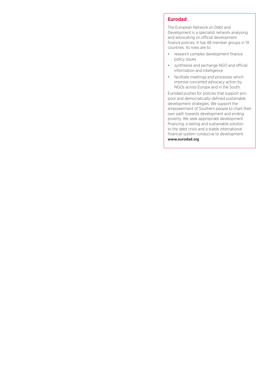#### **Eurodad**

The European Network on Debt and Development is a specialist network analysing and advocating on official development finance policies. It has 48 member groups in 19 countries. Its roles are to:

- research complex development finance policy issues
- synthesise and exchange NGO and official information and intelligence
- facilitate meetings and processes which improve concerted advocacy action by NGOs across Europe and in the South.

Eurodad pushes for policies that support propoor and democratically-defined sustainable development strategies. We support the empowerment of Southern people to chart their own path towards development and ending poverty. We seek appropriate development financing, a lasting and sustainable solution to the debt crisis and a stable international financial system conducive to development. **www.eurodad.org**